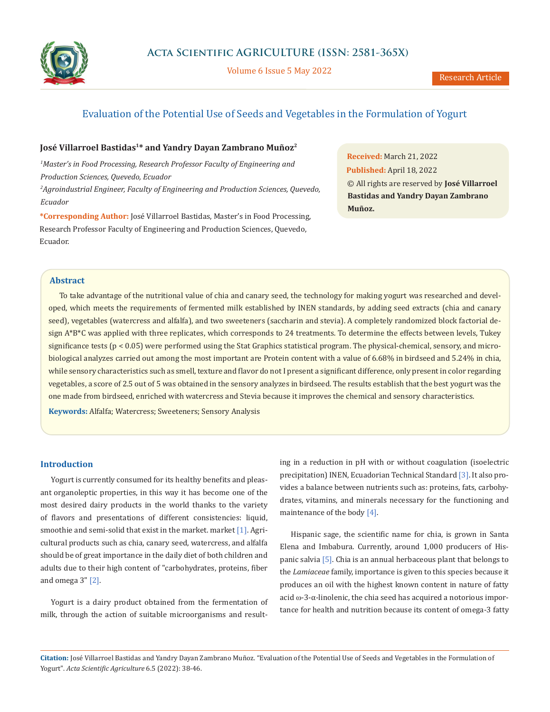

Volume 6 Issue 5 May 2022

# Evaluation of the Potential Use of Seeds and Vegetables in the Formulation of Yogurt

## **José Villarroel Bastidas1\* and Yandry Dayan Zambrano Muñoz2**

*1 Master's in Food Processing, Research Professor Faculty of Engineering and Production Sciences, Quevedo, Ecuador*

*2 Agroindustrial Engineer, Faculty of Engineering and Production Sciences, Quevedo, Ecuador*

**\*Corresponding Author:** José Villarroel Bastidas, Master's in Food Processing, Research Professor Faculty of Engineering and Production Sciences, Quevedo, Ecuador.

**Received:** March 21, 2022 **Published:** April 18, 2022 © All rights are reserved by **José Villarroel Bastidas and Yandry Dayan Zambrano Muñoz.**

## **Abstract**

To take advantage of the nutritional value of chia and canary seed, the technology for making yogurt was researched and developed, which meets the requirements of fermented milk established by INEN standards, by adding seed extracts (chia and canary seed), vegetables (watercress and alfalfa), and two sweeteners (saccharin and stevia). A completely randomized block factorial design A\*B\*C was applied with three replicates, which corresponds to 24 treatments. To determine the effects between levels, Tukey significance tests  $(p < 0.05)$  were performed using the Stat Graphics statistical program. The physical-chemical, sensory, and microbiological analyzes carried out among the most important are Protein content with a value of 6.68% in birdseed and 5.24% in chia, while sensory characteristics such as smell, texture and flavor do not I present a significant difference, only present in color regarding vegetables, a score of 2.5 out of 5 was obtained in the sensory analyzes in birdseed. The results establish that the best yogurt was the one made from birdseed, enriched with watercress and Stevia because it improves the chemical and sensory characteristics.

**Keywords:** Alfalfa; Watercress; Sweeteners; Sensory Analysis

## **Introduction**

Yogurt is currently consumed for its healthy benefits and pleasant organoleptic properties, in this way it has become one of the most desired dairy products in the world thanks to the variety of flavors and presentations of different consistencies: liquid, smoothie and semi-solid that exist in the market. market [1]. Agricultural products such as chia, canary seed, watercress, and alfalfa should be of great importance in the daily diet of both children and adults due to their high content of "carbohydrates, proteins, fiber and omega 3" [2].

Yogurt is a dairy product obtained from the fermentation of milk, through the action of suitable microorganisms and resulting in a reduction in pH with or without coagulation (isoelectric precipitation) INEN, Ecuadorian Technical Standard [3]. It also provides a balance between nutrients such as: proteins, fats, carbohydrates, vitamins, and minerals necessary for the functioning and maintenance of the body [4].

Hispanic sage, the scientific name for chia, is grown in Santa Elena and Imbabura. Currently, around 1,000 producers of Hispanic salvia [5]. Chia is an annual herbaceous plant that belongs to the *Lamiaceae* family, importance is given to this species because it produces an oil with the highest known content in nature of fatty acid ꞷ-3-α-linolenic, the chia seed has acquired a notorious importance for health and nutrition because its content of omega-3 fatty

**Citation:** José Villarroel Bastidas and Yandry Dayan Zambrano Muñoz. "Evaluation of the Potential Use of Seeds and Vegetables in the Formulation of Yogurt". *Acta Scientific Agriculture* 6.5 (2022): 38-46.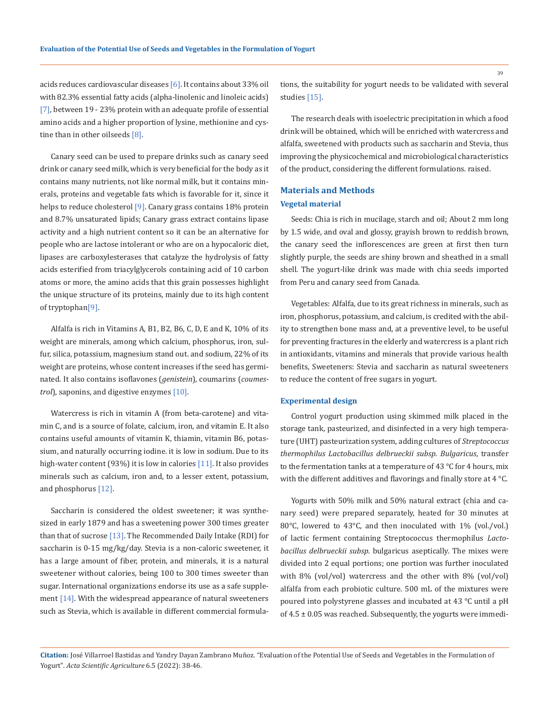acids reduces cardiovascular diseases [6]. It contains about 33% oil with 82.3% essential fatty acids (alpha-linolenic and linoleic acids) [7], between 19 - 23% protein with an adequate profile of essential amino acids and a higher proportion of lysine, methionine and cystine than in other oilseeds [8].

Canary seed can be used to prepare drinks such as canary seed drink or canary seed milk, which is very beneficial for the body as it contains many nutrients, not like normal milk, but it contains minerals, proteins and vegetable fats which is favorable for it, since it helps to reduce cholesterol [9]. Canary grass contains 18% protein and 8.7% unsaturated lipids; Canary grass extract contains lipase activity and a high nutrient content so it can be an alternative for people who are lactose intolerant or who are on a hypocaloric diet, lipases are carboxylesterases that catalyze the hydrolysis of fatty acids esterified from triacylglycerols containing acid of 10 carbon atoms or more, the amino acids that this grain possesses highlight the unique structure of its proteins, mainly due to its high content of tryptophan[9].

Alfalfa is rich in Vitamins A, B1, B2, B6, C, D, E and K, 10% of its weight are minerals, among which calcium, phosphorus, iron, sulfur, silica, potassium, magnesium stand out. and sodium, 22% of its weight are proteins, whose content increases if the seed has germinated. It also contains isoflavones (*genistein*), coumarins (*coumestrol*), saponins, and digestive enzymes [10].

Watercress is rich in vitamin A (from beta-carotene) and vitamin C, and is a source of folate, calcium, iron, and vitamin E. It also contains useful amounts of vitamin K, thiamin, vitamin B6, potassium, and naturally occurring iodine. it is low in sodium. Due to its high-water content (93%) it is low in calories [11]. It also provides minerals such as calcium, iron and, to a lesser extent, potassium, and phosphorus [12].

Saccharin is considered the oldest sweetener; it was synthesized in early 1879 and has a sweetening power 300 times greater than that of sucrose  $[13]$ . The Recommended Daily Intake (RDI) for saccharin is 0-15 mg/kg/day. Stevia is a non-caloric sweetener, it has a large amount of fiber, protein, and minerals, it is a natural sweetener without calories, being 100 to 300 times sweeter than sugar. International organizations endorse its use as a safe supplement [14]. With the widespread appearance of natural sweeteners such as Stevia, which is available in different commercial formulations, the suitability for yogurt needs to be validated with several studies [15].

The research deals with isoelectric precipitation in which a food drink will be obtained, which will be enriched with watercress and alfalfa, sweetened with products such as saccharin and Stevia, thus improving the physicochemical and microbiological characteristics of the product, considering the different formulations. raised.

# **Materials and Methods Vegetal material**

Seeds: Chia is rich in mucilage, starch and oil; About 2 mm long by 1.5 wide, and oval and glossy, grayish brown to reddish brown, the canary seed the inflorescences are green at first then turn slightly purple, the seeds are shiny brown and sheathed in a small shell. The yogurt-like drink was made with chia seeds imported from Peru and canary seed from Canada.

Vegetables: Alfalfa, due to its great richness in minerals, such as iron, phosphorus, potassium, and calcium, is credited with the ability to strengthen bone mass and, at a preventive level, to be useful for preventing fractures in the elderly and watercress is a plant rich in antioxidants, vitamins and minerals that provide various health benefits, Sweeteners: Stevia and saccharin as natural sweeteners to reduce the content of free sugars in yogurt.

#### **Experimental design**

Control yogurt production using skimmed milk placed in the storage tank, pasteurized, and disinfected in a very high temperature (UHT) pasteurization system, adding cultures of *Streptococcus thermophilus Lactobacillus delbrueckii subsp. Bulgaricus*, transfer to the fermentation tanks at a temperature of 43 °C for 4 hours, mix with the different additives and flavorings and finally store at 4 °C.

Yogurts with 50% milk and 50% natural extract (chia and canary seed) were prepared separately, heated for 30 minutes at 80°C, lowered to 43°C, and then inoculated with 1% (vol./vol.) of lactic ferment containing Streptococcus thermophilus *Lactobacillus delbrueckii subsp.* bulgaricus aseptically. The mixes were divided into 2 equal portions; one portion was further inoculated with 8% (vol/vol) watercress and the other with 8% (vol/vol) alfalfa from each probiotic culture. 500 mL of the mixtures were poured into polystyrene glasses and incubated at 43 °C until a pH of  $4.5 \pm 0.05$  was reached. Subsequently, the yogurts were immedi-

**Citation:** José Villarroel Bastidas and Yandry Dayan Zambrano Muñoz. "Evaluation of the Potential Use of Seeds and Vegetables in the Formulation of Yogurt". *Acta Scientific Agriculture* 6.5 (2022): 38-46.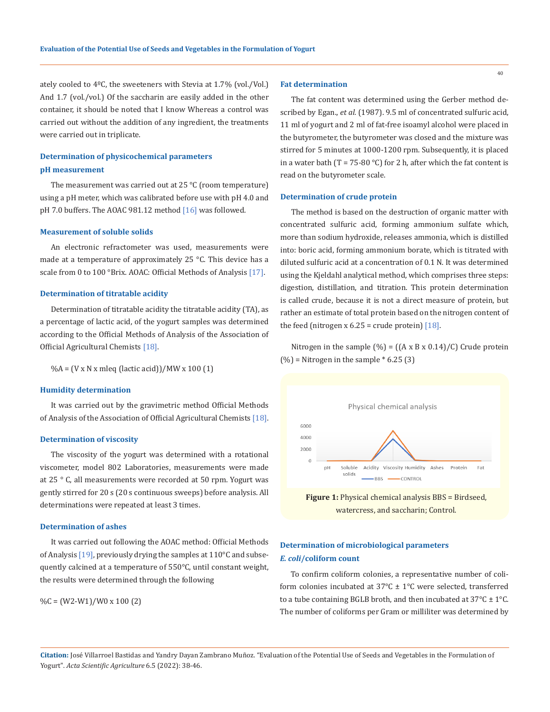ately cooled to 4ºC, the sweeteners with Stevia at 1.7% (vol./Vol.) And 1.7 (vol./vol.) Of the saccharin are easily added in the other container, it should be noted that I know Whereas a control was carried out without the addition of any ingredient, the treatments were carried out in triplicate.

# **Determination of physicochemical parameters pH measurement**

The measurement was carried out at  $25^{\circ}$ C (room temperature) using a pH meter, which was calibrated before use with pH 4.0 and pH 7.0 buffers. The AOAC 981.12 method [16] was followed.

#### **Measurement of soluble solids**

An electronic refractometer was used, measurements were made at a temperature of approximately 25 °C. This device has a scale from 0 to 100 °Brix. AOAC: Official Methods of Analysis [17].

#### **Determination of titratable acidity**

Determination of titratable acidity the titratable acidity (TA), as a percentage of lactic acid, of the yogurt samples was determined according to the Official Methods of Analysis of the Association of Official Agricultural Chemists [18].

%A = (V x N x mleq (lactic acid))/MW x 100 (1)

### **Humidity determination**

It was carried out by the gravimetric method Official Methods of Analysis of the Association of Official Agricultural Chemists [18].

#### **Determination of viscosity**

The viscosity of the yogurt was determined with a rotational viscometer, model 802 Laboratories, measurements were made at 25 ° C, all measurements were recorded at 50 rpm. Yogurt was gently stirred for 20 s (20 s continuous sweeps) before analysis. All determinations were repeated at least 3 times.

#### **Determination of ashes**

It was carried out following the AOAC method: Official Methods of Analysis [19], previously drying the samples at 110°C and subsequently calcined at a temperature of 550°C, until constant weight, the results were determined through the following

```
\%C = (W2-W1)/W0 \times 100 (2)
```
## **Fat determination**

The fat content was determined using the Gerber method described by Egan., *et al.* (1987). 9.5 ml of concentrated sulfuric acid, 11 ml of yogurt and 2 ml of fat-free isoamyl alcohol were placed in the butyrometer, the butyrometer was closed and the mixture was stirred for 5 minutes at 1000-1200 rpm. Subsequently, it is placed in a water bath (T = 75-80 °C) for 2 h, after which the fat content is read on the butyrometer scale.

### **Determination of crude protein**

The method is based on the destruction of organic matter with concentrated sulfuric acid, forming ammonium sulfate which, more than sodium hydroxide, releases ammonia, which is distilled into: boric acid, forming ammonium borate, which is titrated with diluted sulfuric acid at a concentration of 0.1 N. It was determined using the Kjeldahl analytical method, which comprises three steps: digestion, distillation, and titration. This protein determination is called crude, because it is not a direct measure of protein, but rather an estimate of total protein based on the nitrogen content of the feed (nitrogen x  $6.25$  = crude protein) [18].

Nitrogen in the sample  $(\%) = ((A \times B \times 0.14)/C)$  Crude protein  $(\%)$  = Nitrogen in the sample  $*$  6.25 (3)



**Figure 1:** Physical chemical analysis BBS = Birdseed, watercress, and saccharin; Control.

# **Determination of microbiological parameters** *E. coli***/coliform count**

To confirm coliform colonies, a representative number of coliform colonies incubated at  $37^{\circ}$ C  $\pm$  1°C were selected, transferred to a tube containing BGLB broth, and then incubated at  $37^{\circ}$ C  $\pm$  1 $^{\circ}$ C. The number of coliforms per Gram or milliliter was determined by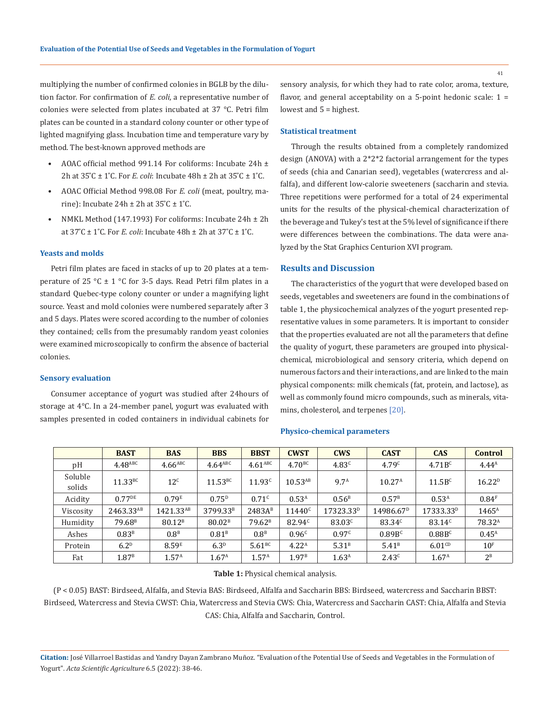multiplying the number of confirmed colonies in BGLB by the dilution factor. For confirmation of *E. coli*, a representative number of colonies were selected from plates incubated at 37 °C. Petri film plates can be counted in a standard colony counter or other type of lighted magnifying glass. Incubation time and temperature vary by method. The best-known approved methods are

- AOAC official method 991.14 For coliforms: Incubate 24h ± 2h at  $35^{\circ}$ C  $\pm$  1<sup>°</sup>C. For *E. coli*: Incubate  $48h \pm 2h$  at  $35^{\circ}$ C  $\pm$  1<sup>°</sup>C.
- AOAC Official Method 998.08 For *E. coli* (meat, poultry, marine): Incubate  $24h \pm 2h$  at  $35^{\circ}C \pm 1^{\circ}C$ .
- NMKL Method (147.1993) For coliforms: Incubate 24h ± 2h at  $37^{\circ}$ C ± 1 $^{\circ}$ C. For *E. coli*: Incubate  $48h \pm 2h$  at  $37^{\circ}$ C ± 1 $^{\circ}$ C.

### **Yeasts and molds**

Petri film plates are faced in stacks of up to 20 plates at a temperature of 25 °C  $\pm$  1 °C for 3-5 days. Read Petri film plates in a standard Quebec-type colony counter or under a magnifying light source. Yeast and mold colonies were numbered separately after 3 and 5 days. Plates were scored according to the number of colonies they contained; cells from the presumably random yeast colonies were examined microscopically to confirm the absence of bacterial colonies.

# **Sensory evaluation**

Consumer acceptance of yogurt was studied after 24hours of storage at 4°C. In a 24-member panel, yogurt was evaluated with samples presented in coded containers in individual cabinets for

sensory analysis, for which they had to rate color, aroma, texture, flavor, and general acceptability on a 5-point hedonic scale:  $1 =$ lowest and 5 = highest.

### **Statistical treatment**

Through the results obtained from a completely randomized design (ANOVA) with a 2\*2\*2 factorial arrangement for the types of seeds (chia and Canarian seed), vegetables (watercress and alfalfa), and different low-calorie sweeteners (saccharin and stevia. Three repetitions were performed for a total of 24 experimental units for the results of the physical-chemical characterization of the beverage and Tukey's test at the 5% level of significance if there were differences between the combinations. The data were analyzed by the Stat Graphics Centurion XVI program.

### **Results and Discussion**

The characteristics of the yogurt that were developed based on seeds, vegetables and sweeteners are found in the combinations of table 1, the physicochemical analyzes of the yogurt presented representative values in some parameters. It is important to consider that the properties evaluated are not all the parameters that define the quality of yogurt, these parameters are grouped into physicalchemical, microbiological and sensory criteria, which depend on numerous factors and their interactions, and are linked to the main physical components: milk chemicals (fat, protein, and lactose), as well as commonly found micro compounds, such as minerals, vitamins, cholesterol, and terpenes [20].

#### **Physico-chemical parameters**

|                   | <b>BAST</b>           | <b>BAS</b>            | <b>BBS</b>           | <b>BBST</b>        | <b>CWST</b>        | <b>CWS</b>            | <b>CAST</b>           | <b>CAS</b>            | <b>Control</b>     |
|-------------------|-----------------------|-----------------------|----------------------|--------------------|--------------------|-----------------------|-----------------------|-----------------------|--------------------|
| pH                | $4.48$ <sup>ABC</sup> | $4.66$ <sup>ABC</sup> | $4.64^{\rm ABC}$     | $4.61^{\rm ABC}$   | 4.70 <sup>BC</sup> | 4.83 <sup>c</sup>     | 4.79 <sup>c</sup>     | 4.71B <sup>c</sup>    | $4.44^{\rm A}$     |
| Soluble<br>solids | 11.33BC               | 12 <sup>c</sup>       | $11.53_{BC}$         | 11.93 <sup>c</sup> | $10.53^{AB}$       | 9.7 <sup>A</sup>      | 10.27 <sup>A</sup>    | 11.5B <sup>c</sup>    | 16.22 <sup>D</sup> |
| Acidity           | $0.77^{DE}$           | 0.79 <sup>E</sup>     | $0.75^{D}$           | $0.71^{c}$         | 0.53 <sup>A</sup>  | 0.56 <sup>B</sup>     | $0.57^{\rm B}$        | 0.53 <sup>A</sup>     | 0.84 <sup>F</sup>  |
| Viscosity         | 2463.33AB             | 1421.33AB             | 3799.33 <sup>B</sup> | $2483A^B$          | $11440^c$          | 17323.33 <sup>D</sup> | 14986.67 <sup>D</sup> | 17333.33 <sup>D</sup> | $1465^{\text{A}}$  |
| Humidity          | 79.68 <sup>B</sup>    | 80.12 <sup>B</sup>    | 80.02 <sup>B</sup>   | 79.62 <sup>B</sup> | 82.94 <sup>c</sup> | 83.03 <sup>c</sup>    | $83.34^{c}$           | $83.14^{c}$           | 78.32 <sup>A</sup> |
| Ashes             | 0.83 <sup>B</sup>     | 0.8 <sup>B</sup>      | 0.81 <sup>B</sup>    | 0.8 <sup>B</sup>   | 0.96 <sup>c</sup>  | 0.97c                 | 0.89B <sup>c</sup>    | 0.88B <sup>c</sup>    | $0.45^{\text{A}}$  |
| Protein           | 6.2 <sup>D</sup>      | 8.59 <sup>E</sup>     | 6.3 <sup>D</sup>     | 5.61BC             | 4.22 <sup>A</sup>  | 5.31 <sup>B</sup>     | 5.41 <sup>B</sup>     | $6.01^{CD}$           | 10 <sup>F</sup>    |
| Fat               | 1.87 <sup>B</sup>     | 1.57 <sup>A</sup>     | 1.67 <sup>A</sup>    | 1.57 <sup>A</sup>  | 1.97 <sup>B</sup>  | 1.63 <sup>A</sup>     | 2.43 <sup>c</sup>     | 1.67 <sup>A</sup>     | $2^B$              |

#### **Table 1:** Physical chemical analysis.

(P < 0.05) BAST: Birdseed, Alfalfa, and Stevia BAS: Birdseed, Alfalfa and Saccharin BBS: Birdseed, watercress and Saccharin BBST: Birdseed, Watercress and Stevia CWST: Chia, Watercress and Stevia CWS: Chia, Watercress and Saccharin CAST: Chia, Alfalfa and Stevia CAS: Chia, Alfalfa and Saccharin, Control.

**Citation:** José Villarroel Bastidas and Yandry Dayan Zambrano Muñoz. "Evaluation of the Potential Use of Seeds and Vegetables in the Formulation of Yogurt". *Acta Scientific Agriculture* 6.5 (2022): 38-46.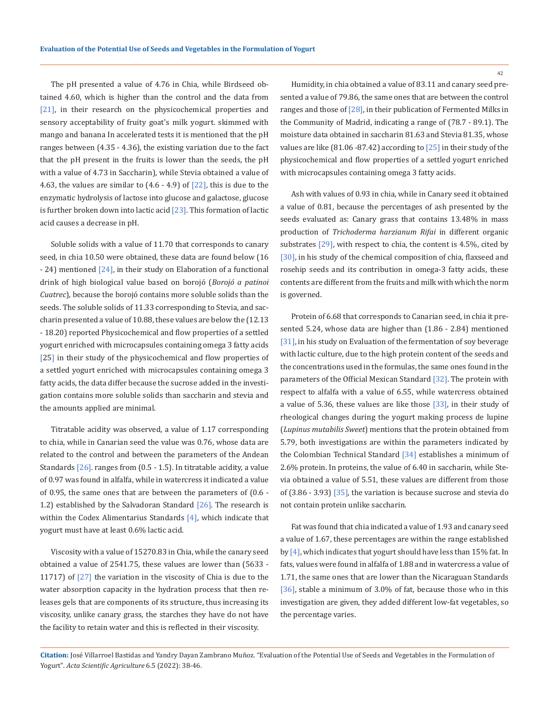The pH presented a value of 4.76 in Chia, while Birdseed obtained 4.60, which is higher than the control and the data from [21], in their research on the physicochemical properties and sensory acceptability of fruity goat's milk yogurt. skimmed with mango and banana In accelerated tests it is mentioned that the pH ranges between (4.35 - 4.36), the existing variation due to the fact that the pH present in the fruits is lower than the seeds, the pH with a value of 4.73 in Saccharin), while Stevia obtained a value of 4.63, the values are similar to  $(4.6 - 4.9)$  of  $[22]$ , this is due to the enzymatic hydrolysis of lactose into glucose and galactose, glucose is further broken down into lactic acid  $[23]$ . This formation of lactic acid causes a decrease in pH.

Soluble solids with a value of 11.70 that corresponds to canary seed, in chia 10.50 were obtained, these data are found below (16 - 24) mentioned [24], in their study on Elaboration of a functional drink of high biological value based on borojó (*Borojó a patinoi Cuatrec*), because the borojó contains more soluble solids than the seeds. The soluble solids of 11.33 corresponding to Stevia, and saccharin presented a value of 10.88, these values are below the (12.13 - 18.20) reported Physicochemical and flow properties of a settled yogurt enriched with microcapsules containing omega 3 fatty acids [25] in their study of the physicochemical and flow properties of a settled yogurt enriched with microcapsules containing omega 3 fatty acids, the data differ because the sucrose added in the investigation contains more soluble solids than saccharin and stevia and the amounts applied are minimal.

Titratable acidity was observed, a value of 1.17 corresponding to chia, while in Canarian seed the value was 0.76, whose data are related to the control and between the parameters of the Andean Standards [26]. ranges from (0.5 - 1.5). In titratable acidity, a value of 0.97 was found in alfalfa, while in watercress it indicated a value of 0.95, the same ones that are between the parameters of (0.6 - 1.2) established by the Salvadoran Standard  $[26]$ . The research is within the Codex Alimentarius Standards [4], which indicate that yogurt must have at least 0.6% lactic acid.

Viscosity with a value of 15270.83 in Chia, while the canary seed obtained a value of 2541.75, these values are lower than (5633 - 11717) of [27] the variation in the viscosity of Chia is due to the water absorption capacity in the hydration process that then releases gels that are components of its structure, thus increasing its viscosity, unlike canary grass, the starches they have do not have the facility to retain water and this is reflected in their viscosity.

Humidity, in chia obtained a value of 83.11 and canary seed presented a value of 79.86, the same ones that are between the control ranges and those of  $[28]$ , in their publication of Fermented Milks in the Community of Madrid, indicating a range of (78.7 - 89.1). The moisture data obtained in saccharin 81.63 and Stevia 81.35, whose values are like (81.06 -87.42) according to  $[25]$  in their study of the physicochemical and flow properties of a settled yogurt enriched with microcapsules containing omega 3 fatty acids.

Ash with values of 0.93 in chia, while in Canary seed it obtained a value of 0.81, because the percentages of ash presented by the seeds evaluated as: Canary grass that contains 13.48% in mass production of *Trichoderma harzianum Rifai* in different organic substrates  $[29]$ , with respect to chia, the content is 4.5%, cited by [30], in his study of the chemical composition of chia, flaxseed and rosehip seeds and its contribution in omega-3 fatty acids, these contents are different from the fruits and milk with which the norm is governed.

Protein of 6.68 that corresponds to Canarian seed, in chia it presented 5.24, whose data are higher than (1.86 - 2.84) mentioned [31], in his study on Evaluation of the fermentation of soy beverage with lactic culture, due to the high protein content of the seeds and the concentrations used in the formulas, the same ones found in the parameters of the Official Mexican Standard [32]. The protein with respect to alfalfa with a value of 6.55, while watercress obtained a value of 5.36, these values are like those [33], in their study of rheological changes during the yogurt making process de lupine (*Lupinus mutabilis Sweet*) mentions that the protein obtained from 5.79, both investigations are within the parameters indicated by the Colombian Technical Standard [34] establishes a minimum of 2.6% protein. In proteins, the value of 6.40 in saccharin, while Stevia obtained a value of 5.51, these values are different from those of (3.86 - 3.93) [35], the variation is because sucrose and stevia do not contain protein unlike saccharin.

Fat was found that chia indicated a value of 1.93 and canary seed a value of 1.67, these percentages are within the range established by  $[4]$ , which indicates that yogurt should have less than 15% fat. In fats, values were found in alfalfa of 1.88 and in watercress a value of 1.71, the same ones that are lower than the Nicaraguan Standards [36], stable a minimum of 3.0% of fat, because those who in this investigation are given, they added different low-fat vegetables, so the percentage varies.

**Citation:** José Villarroel Bastidas and Yandry Dayan Zambrano Muñoz. "Evaluation of the Potential Use of Seeds and Vegetables in the Formulation of Yogurt". *Acta Scientific Agriculture* 6.5 (2022): 38-46.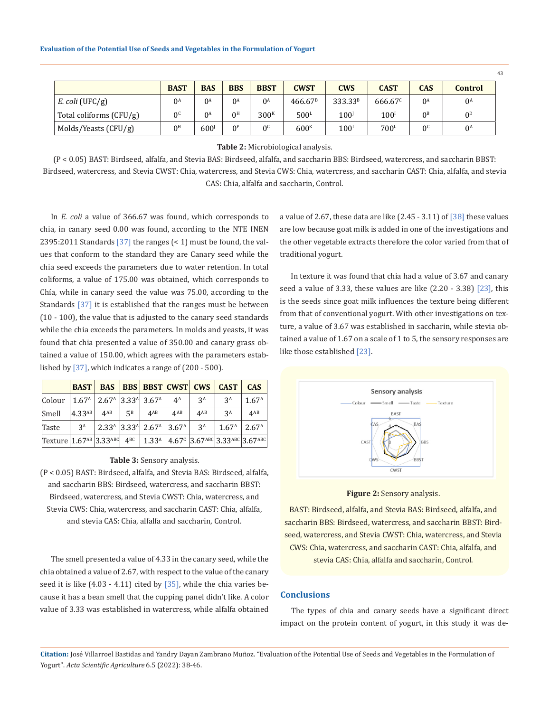|                           | <b>BAST</b>    | <b>BAS</b>       | <b>BBS</b>     | <b>BBST</b>      | <b>CWST</b>         | <b>CWS</b>          | <b>CAST</b>      | <b>CAS</b>     | <b>Control</b> |
|---------------------------|----------------|------------------|----------------|------------------|---------------------|---------------------|------------------|----------------|----------------|
| $E.$ coli (UFC/g)         | $0^A$          | $0^{\text{A}}$   | $0^A$          | $0^{\text{A}}$   | 466.67 <sup>B</sup> | 333.33 <sup>B</sup> | $666.67^c$       | $0^{\text{A}}$ | $0^{\text{A}}$ |
| Total coliforms $(CFU/g)$ | $\Omega$       | $0^{\text{A}}$   | 0 <sup>H</sup> | 300 <sup>K</sup> | 500 <sup>L</sup>    | 100 <sup>j</sup>    | $100^{1}$        | 0 <sup>B</sup> | 0 <sup>D</sup> |
| Molds/Yeasts (CFU/g)      | 0 <sup>H</sup> | 600 <sup>j</sup> | 0 <sup>F</sup> | 0 <sup>6</sup>   | 600 <sup>K</sup>    | $100^{1}$           | 700 <sup>L</sup> | 0 <sup>c</sup> | $0^{\text{A}}$ |

**Table 2:** Microbiological analysis.

(P < 0.05) BAST: Birdseed, alfalfa, and Stevia BAS: Birdseed, alfalfa, and saccharin BBS: Birdseed, watercress, and saccharin BBST: Birdseed, watercress, and Stevia CWST: Chia, watercress, and Stevia CWS: Chia, watercress, and saccharin CAST: Chia, alfalfa, and stevia CAS: Chia, alfalfa and saccharin, Control.

In *E. coli* a value of 366.67 was found, which corresponds to chia, in canary seed 0.00 was found, according to the NTE INEN 2395:2011 Standards  $[37]$  the ranges  $($  < 1) must be found, the values that conform to the standard they are Canary seed while the chia seed exceeds the parameters due to water retention. In total coliforms, a value of 175.00 was obtained, which corresponds to Chía, while in canary seed the value was 75.00, according to the Standards [37] it is established that the ranges must be between (10 - 100), the value that is adjusted to the canary seed standards while the chia exceeds the parameters. In molds and yeasts, it was found that chia presented a value of 350.00 and canary grass obtained a value of 150.00, which agrees with the parameters established by [37], which indicates a range of (200 - 500).

|                                                                         | <b>BAST</b> |                                                                     |       |                                                               |             | <b>BAS BBS BBST CWST CWS CAST</b> |                                                                                                         | <b>CAS</b>        |
|-------------------------------------------------------------------------|-------------|---------------------------------------------------------------------|-------|---------------------------------------------------------------|-------------|-----------------------------------|---------------------------------------------------------------------------------------------------------|-------------------|
| Colour                                                                  |             | $1.67A$   2.67 <sup>A</sup>   3.33 <sup>A</sup>   3.67 <sup>A</sup> |       |                                                               | $4^{\rm A}$ | $3^A$                             | $3^A$                                                                                                   | 1.67 <sup>A</sup> |
| Smell                                                                   | $4.33^{AB}$ | $4^{AB}$                                                            | $5^B$ | $4^{AB}$                                                      | $4^{AB}$    | $4^{AB}$                          | 3 <sup>A</sup>                                                                                          | $4^{AB}$          |
| Taste                                                                   | $3^{\rm A}$ |                                                                     |       | $2.33A$ 3.33 <sup>A</sup> 2.67 <sup>A</sup> 3.67 <sup>A</sup> |             | $3^A$                             | 1.67 <sup>A</sup>                                                                                       | 2.67 <sup>A</sup> |
| $\text{Texture}$ 1.67 <sup>AB</sup> 3.33 <sup>ABC</sup> 4 <sup>BC</sup> |             |                                                                     |       |                                                               |             |                                   | $1.33^{\text{A}}$   $4.67^{\text{C}}$   $3.67^{\text{ABC}}$   $3.33^{\text{ABC}}$   $3.67^{\text{ABC}}$ |                   |

#### **Table 3:** Sensory analysis.

(P < 0.05) BAST: Birdseed, alfalfa, and Stevia BAS: Birdseed, alfalfa, and saccharin BBS: Birdseed, watercress, and saccharin BBST: Birdseed, watercress, and Stevia CWST: Chia, watercress, and Stevia CWS: Chia, watercress, and saccharin CAST: Chia, alfalfa, and stevia CAS: Chia, alfalfa and saccharin, Control.

The smell presented a value of 4.33 in the canary seed, while the chia obtained a value of 2.67, with respect to the value of the canary seed it is like  $(4.03 - 4.11)$  cited by  $[35]$ , while the chia varies because it has a bean smell that the cupping panel didn't like. A color value of 3.33 was established in watercress, while alfalfa obtained a value of 2.67, these data are like  $(2.45 - 3.11)$  of  $\lceil 38 \rceil$  these values are low because goat milk is added in one of the investigations and the other vegetable extracts therefore the color varied from that of traditional yogurt.

In texture it was found that chia had a value of 3.67 and canary seed a value of 3.33, these values are like (2.20 - 3.38) [23], this is the seeds since goat milk influences the texture being different from that of conventional yogurt. With other investigations on texture, a value of 3.67 was established in saccharin, while stevia obtained a value of 1.67 on a scale of 1 to 5, the sensory responses are like those established [23].



**Figure 2:** Sensory analysis.

BAST: Birdseed, alfalfa, and Stevia BAS: Birdseed, alfalfa, and saccharin BBS: Birdseed, watercress, and saccharin BBST: Birdseed, watercress, and Stevia CWST: Chia, watercress, and Stevia CWS: Chia, watercress, and saccharin CAST: Chia, alfalfa, and stevia CAS: Chia, alfalfa and saccharin, Control.

### **Conclusions**

The types of chia and canary seeds have a significant direct impact on the protein content of yogurt, in this study it was de-

**Citation:** José Villarroel Bastidas and Yandry Dayan Zambrano Muñoz. "Evaluation of the Potential Use of Seeds and Vegetables in the Formulation of Yogurt". *Acta Scientific Agriculture* 6.5 (2022): 38-46.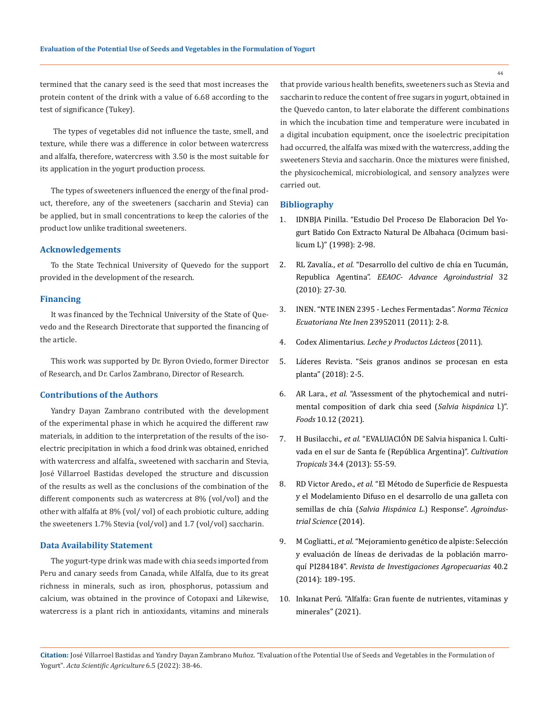termined that the canary seed is the seed that most increases the protein content of the drink with a value of 6.68 according to the test of significance (Tukey).

 The types of vegetables did not influence the taste, smell, and texture, while there was a difference in color between watercress and alfalfa, therefore, watercress with 3.50 is the most suitable for its application in the yogurt production process.

The types of sweeteners influenced the energy of the final product, therefore, any of the sweeteners (saccharin and Stevia) can be applied, but in small concentrations to keep the calories of the product low unlike traditional sweeteners.

### **Acknowledgements**

To the State Technical University of Quevedo for the support provided in the development of the research.

#### **Financing**

It was financed by the Technical University of the State of Quevedo and the Research Directorate that supported the financing of the article.

This work was supported by Dr. Byron Oviedo, former Director of Research, and Dr. Carlos Zambrano, Director of Research.

## **Contributions of the Authors**

Yandry Dayan Zambrano contributed with the development of the experimental phase in which he acquired the different raw materials, in addition to the interpretation of the results of the isoelectric precipitation in which a food drink was obtained, enriched with watercress and alfalfa., sweetened with saccharin and Stevia, José Villarroel Bastidas developed the structure and discussion of the results as well as the conclusions of the combination of the different components such as watercress at 8% (vol/vol) and the other with alfalfa at 8% (vol/ vol) of each probiotic culture, adding the sweeteners 1.7% Stevia (vol/vol) and 1.7 (vol/vol) saccharin.

### **Data Availability Statement**

The yogurt-type drink was made with chia seeds imported from Peru and canary seeds from Canada, while Alfalfa, due to its great richness in minerals, such as iron, phosphorus, potassium and calcium, was obtained in the province of Cotopaxi and Likewise, watercress is a plant rich in antioxidants, vitamins and minerals that provide various health benefits, sweeteners such as Stevia and saccharin to reduce the content of free sugars in yogurt, obtained in the Quevedo canton, to later elaborate the different combinations in which the incubation time and temperature were incubated in a digital incubation equipment, once the isoelectric precipitation had occurred, the alfalfa was mixed with the watercress, adding the sweeteners Stevia and saccharin. Once the mixtures were finished, the physicochemical, microbiological, and sensory analyzes were carried out.

#### **Bibliography**

- 1. [IDNBJA Pinilla. "Estudio Del Proceso De Elaboracion Del Yo](https://www.academia.edu/34898546/ESTUDIO_DEL_PROCESO_DE_ELABORACION_DEL_YOGURT_BATIDO_CON_EXTRACTO_NATURAL_DE_ALBAHACA_Ocimum_basilicum_L)[gurt Batido Con Extracto Natural De Albahaca \(Ocimum basi](https://www.academia.edu/34898546/ESTUDIO_DEL_PROCESO_DE_ELABORACION_DEL_YOGURT_BATIDO_CON_EXTRACTO_NATURAL_DE_ALBAHACA_Ocimum_basilicum_L)[licum L\)" \(1998\): 2-98.](https://www.academia.edu/34898546/ESTUDIO_DEL_PROCESO_DE_ELABORACION_DEL_YOGURT_BATIDO_CON_EXTRACTO_NATURAL_DE_ALBAHACA_Ocimum_basilicum_L)
- 2. RL Zavalía., *et al.* ["Desarrollo del cultivo de chía en Tucumán,](https://www.eeaoc.gob.ar/?publicacion=32-4-3)  Republica Agentina". *[EEAOC- Advance Agroindustrial](https://www.eeaoc.gob.ar/?publicacion=32-4-3)* 32 [\(2010\): 27-30.](https://www.eeaoc.gob.ar/?publicacion=32-4-3)
- 3. INEN. "NTE INEN 2395 Leches Fermentadas". *Norma Técnica Ecuatoriana Nte Inen* 23952011 (2011): 2-8.
- 4. Codex Alimentarius. *Leche y Productos Lácteos* (2011).
- 5. [Líderes Revista. "Seis granos andinos se procesan en esta](https://www.revistalideres.ec/lideres/seis-granos-andinos-procesan-planta.html)  [planta" \(2018\): 2-5.](https://www.revistalideres.ec/lideres/seis-granos-andinos-procesan-planta.html)
- 6. AR Lara., *et al.* ["Assessment of the phytochemical and nutri](https://pubmed.ncbi.nlm.nih.gov/34945556/)[mental composition of dark chia seed \(](https://pubmed.ncbi.nlm.nih.gov/34945556/)*Salvia hispánica* l.)". *Foods* [10.12 \(2021\).](https://pubmed.ncbi.nlm.nih.gov/34945556/)
- 7. H Busilacchi., *et al.* ["EVALUACIÓN DE Salvia hispanica l. Culti](http://scielo.sld.cu/scielo.php?script=sci_arttext&pid=S0258-59362013000400009)[vada en el sur de Santa fe \(República Argentina\)".](http://scielo.sld.cu/scielo.php?script=sci_arttext&pid=S0258-59362013000400009) *Cultivation Tropicals* [34.4 \(2013\): 55-59.](http://scielo.sld.cu/scielo.php?script=sci_arttext&pid=S0258-59362013000400009)
- 8. RD Victor Aredo., *et al.* ["El Método de Superficie de Respuesta](https://revistas.unitru.edu.pe/index.php/agroindscience/article/view/694)  [y el Modelamiento Difuso en el desarrollo de una galleta con](https://revistas.unitru.edu.pe/index.php/agroindscience/article/view/694)  semillas de chía (*[Salvia Hispánica L](https://revistas.unitru.edu.pe/index.php/agroindscience/article/view/694)*.) Response". *Agroindus[trial Science](https://revistas.unitru.edu.pe/index.php/agroindscience/article/view/694)* (2014).
- 9. M Cogliatti., *et al.* ["Mejoramiento genético de alpiste: Selección](https://www.researchgate.net/publication/295912462_Mejoramiento_genetico_de_alpiste_seleccion_y_evaluacion_de_lineas_de_derivadas_de_la_poblacion_marroqui_PI284184)  [y evaluación de líneas de derivadas de la población marro](https://www.researchgate.net/publication/295912462_Mejoramiento_genetico_de_alpiste_seleccion_y_evaluacion_de_lineas_de_derivadas_de_la_poblacion_marroqui_PI284184)quí PI284184". *[Revista de Investigaciones Agropecuarias](https://www.researchgate.net/publication/295912462_Mejoramiento_genetico_de_alpiste_seleccion_y_evaluacion_de_lineas_de_derivadas_de_la_poblacion_marroqui_PI284184)* 40.2 [\(2014\): 189-195.](https://www.researchgate.net/publication/295912462_Mejoramiento_genetico_de_alpiste_seleccion_y_evaluacion_de_lineas_de_derivadas_de_la_poblacion_marroqui_PI284184)
- 10. [Inkanat Perú. "Alfalfa: Gran fuente de nutrientes, vitaminas y](https://www.inkanatural.com/es/arti.asp?ref=alfalfa-propiedades-beneficios)  [minerales" \(2021\).](https://www.inkanatural.com/es/arti.asp?ref=alfalfa-propiedades-beneficios)

**Citation:** José Villarroel Bastidas and Yandry Dayan Zambrano Muñoz. "Evaluation of the Potential Use of Seeds and Vegetables in the Formulation of Yogurt". *Acta Scientific Agriculture* 6.5 (2022): 38-46.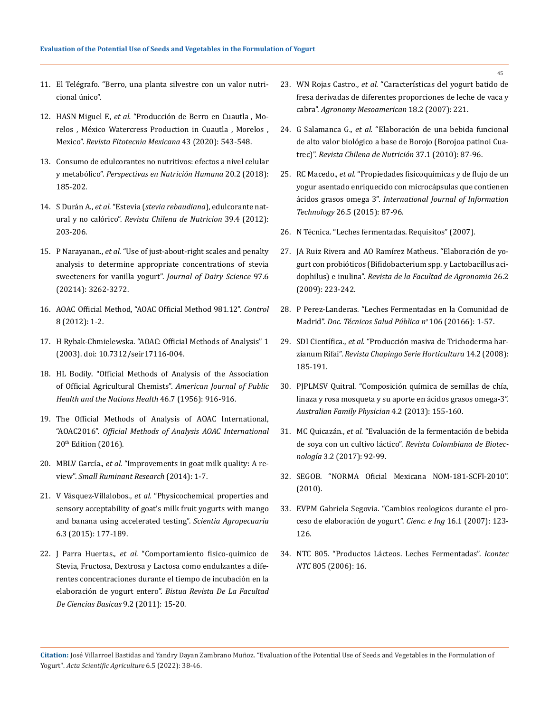- 11. [El Telégrafo. "Berro, una planta silvestre con un valor nutri](https://www.eltelegrafo.com.ec/noticias/de7en7/1/berro-una-planta-silvestre-con-un-valor-nutricional-unico)[cional único".](https://www.eltelegrafo.com.ec/noticias/de7en7/1/berro-una-planta-silvestre-con-un-valor-nutricional-unico)
- 12. HASN Miguel F., *et al.* ["Producción de Berro en Cuautla , Mo](https://revistafitotecniamexicana.org/documentos/43-4A/4a.pdf)[relos , México Watercress Production in Cuautla , Morelos ,](https://revistafitotecniamexicana.org/documentos/43-4A/4a.pdf)  Mexico". *[Revista Fitotecnia Mexicana](https://revistafitotecniamexicana.org/documentos/43-4A/4a.pdf)* 43 (2020): 543-548.
- 13. [Consumo de edulcorantes no nutritivos: efectos a nivel celular](https://www.researchgate.net/publication/331058956_Consumo_de_edulcorantes_no_nutritivos_efectos_a_nivel_celular_y_metabolico)  y metabólico". *[Perspectivas en Nutrición Humana](https://www.researchgate.net/publication/331058956_Consumo_de_edulcorantes_no_nutritivos_efectos_a_nivel_celular_y_metabolico)* 20.2 (2018): [185-202.](https://www.researchgate.net/publication/331058956_Consumo_de_edulcorantes_no_nutritivos_efectos_a_nivel_celular_y_metabolico)
- 14. S Durán A., *et al.* "Estevia (*[stevia rebaudiana](https://www.scielo.cl/scielo.php?script=sci_arttext&pid=S0717-75182012000400015)*), edulcorante natural y no calórico". *[Revista Chilena de Nutricion](https://www.scielo.cl/scielo.php?script=sci_arttext&pid=S0717-75182012000400015)* 39.4 (2012): [203-206.](https://www.scielo.cl/scielo.php?script=sci_arttext&pid=S0717-75182012000400015)
- 15. P Narayanan., *et al.* ["Use of just-about-right scales and penalty](https://pubmed.ncbi.nlm.nih.gov/24679934/)  [analysis to determine appropriate concentrations of stevia](https://pubmed.ncbi.nlm.nih.gov/24679934/)  [sweeteners for vanilla yogurt".](https://pubmed.ncbi.nlm.nih.gov/24679934/) *Journal of Dairy Science* 97.6 [\(20214\): 3262-3272.](https://pubmed.ncbi.nlm.nih.gov/24679934/)
- 16. AOAC Official Method, "AOAC Official Method 981.12". *Control* 8 (2012): 1-2.
- 17. H Rybak-Chmielewska. "AOAC: Official Methods of Analysis" 1 (2003). doi: 10.7312/seir17116-004.
- 18. [HL Bodily. "Official Methods of Analysis of the Association](https://zh.booksc.eu/book/56777700/fbc1c7)  [of Official Agricultural Chemists".](https://zh.booksc.eu/book/56777700/fbc1c7) *American Journal of Public [Health and the Nations Health](https://zh.booksc.eu/book/56777700/fbc1c7)* 46.7 (1956): 916-916.
- 19. The Official Methods of Analysis of AOAC International, "AOAC2016". *Official Methods of Analysis AOAC International* 20<sup>th</sup> Edition (2016).
- 20. MBLV García., *et al.* ["Improvements in goat milk quality: A re](https://www.sciencedirect.com/science/article/abs/pii/S0921448813004458)view". *[Small Ruminant Research](https://www.sciencedirect.com/science/article/abs/pii/S0921448813004458)* (2014): 1-7.
- 21. V Vásquez-Villalobos., *et al.* ["Physicochemical properties and](https://www.researchgate.net/publication/282899995_Physicochemical_properties_and_sensory_acceptability_of_goat%27s_milk_fruit_yogurts_with_mango_and_banana_using_accelerated_testing)  [sensory acceptability of goat's milk fruit yogurts with mango](https://www.researchgate.net/publication/282899995_Physicochemical_properties_and_sensory_acceptability_of_goat%27s_milk_fruit_yogurts_with_mango_and_banana_using_accelerated_testing)  [and banana using accelerated testing".](https://www.researchgate.net/publication/282899995_Physicochemical_properties_and_sensory_acceptability_of_goat%27s_milk_fruit_yogurts_with_mango_and_banana_using_accelerated_testing) *Scientia Agropecuaria*  [6.3 \(2015\): 177-189.](https://www.researchgate.net/publication/282899995_Physicochemical_properties_and_sensory_acceptability_of_goat%27s_milk_fruit_yogurts_with_mango_and_banana_using_accelerated_testing)
- 22. J Parra Huertas., *et al.* "Comportamiento fisico-quimico de Stevia, Fructosa, Dextrosa y Lactosa como endulzantes a diferentes concentraciones durante el tiempo de incubación en la elaboración de yogurt entero". *Bistua Revista De La Facultad De Ciencias Basicas* 9.2 (2011): 15-20.
- 23. WN Rojas Castro., *et al.* ["Características del yogurt batido de](http://www.mag.go.cr/rev_meso/v18n02_221.pdf)  [fresa derivadas de diferentes proporciones de leche de vaca y](http://www.mag.go.cr/rev_meso/v18n02_221.pdf)  cabra". *[Agronomy Mesoamerican](http://www.mag.go.cr/rev_meso/v18n02_221.pdf)* 18.2 (2007): 221.
- 24. G Salamanca G., *et al.* ["Elaboración de una bebida funcional](https://www.scielo.cl/scielo.php?script=sci_arttext&pid=S0717-75182010000100009)  [de alto valor biológico a base de Borojo \(Borojoa patinoi Cua](https://www.scielo.cl/scielo.php?script=sci_arttext&pid=S0717-75182010000100009)trec)". *[Revista Chilena de Nutrición](https://www.scielo.cl/scielo.php?script=sci_arttext&pid=S0717-75182010000100009)* 37.1 (2010): 87-96.
- 25. RC Macedo., *et al.* ["Propiedades fisicoquímicas y de flujo de un](https://www.scielo.cl/scielo.php?script=sci_arttext&pid=S0718-07642015000500012)  [yogur asentado enriquecido con microcápsulas que contienen](https://www.scielo.cl/scielo.php?script=sci_arttext&pid=S0718-07642015000500012)  ácidos grasos omega 3". *[International Journal of Information](https://www.scielo.cl/scielo.php?script=sci_arttext&pid=S0718-07642015000500012)  Technology* [26.5 \(2015\): 87-96.](https://www.scielo.cl/scielo.php?script=sci_arttext&pid=S0718-07642015000500012)
- 26. [N Técnica. "Leches fermentadas. Requisitos" \(2007\).](https://www.midagri.gob.pe/portal/download/pdf/direccionesyoficinas/dgca/normatividad-lacteos/Normas_Andinas/PNA_Leches_Fermentadas_16007.pdf)
- 27. [JA Ruiz Rivera and AO Ramírez Matheus. "Elaboración de yo](http://ve.scielo.org/scielo.php?script=sci_arttext&pid=S0378-78182009000200006)[gurt con probióticos \(Bifidobacterium spp. y Lactobacillus aci](http://ve.scielo.org/scielo.php?script=sci_arttext&pid=S0378-78182009000200006)dophilus) e inulina". *[Revista de la Facultad de Agronomia](http://ve.scielo.org/scielo.php?script=sci_arttext&pid=S0378-78182009000200006)* 26.2 [\(2009\): 223-242.](http://ve.scielo.org/scielo.php?script=sci_arttext&pid=S0378-78182009000200006)
- 28. [P Perez-Landeras. "Leches Fermentadas en la Comunidad de](http://www.madrid.org/bvirtual/BVCM009021.pdf)  Madrid". *[Doc. Técnicos Salud Pública no](http://www.madrid.org/bvirtual/BVCM009021.pdf)* 106 (20166): 1-57.
- 29. SDI Científica., *et al.* ["Producción masiva de Trichoderma har](https://www.researchgate.net/publication/262554617_Produccion_masiva_de_Trichoderma_harzianum_Rifai_en_diferentes_sustratos_organicos)zianum Rifai". *[Revista Chapingo Serie Horticultura](https://www.researchgate.net/publication/262554617_Produccion_masiva_de_Trichoderma_harzianum_Rifai_en_diferentes_sustratos_organicos)* 14.2 (2008): [185-191.](https://www.researchgate.net/publication/262554617_Produccion_masiva_de_Trichoderma_harzianum_Rifai_en_diferentes_sustratos_organicos)
- 30. [PJPLMSV Quitral. "Composición química de semillas de chía,](https://www.scielo.cl/scielo.php?script=sci_arttext&pid=S0717-75182013000200010)  [linaza y rosa mosqueta y su aporte en ácidos grasos omega-3".](https://www.scielo.cl/scielo.php?script=sci_arttext&pid=S0717-75182013000200010)  *[Australian Family Physician](https://www.scielo.cl/scielo.php?script=sci_arttext&pid=S0717-75182013000200010)* 4.2 (2013): 155-160.
- 31. MC Quicazán., *et al.* ["Evaluación de la fermentación de bebida](https://revistas.unal.edu.co/index.php/biotecnologia/article/view/30080)  de soya con un cultivo láctico". *[Revista Colombiana de Biotec](https://revistas.unal.edu.co/index.php/biotecnologia/article/view/30080)nología* [3.2 \(2017\): 92-99.](https://revistas.unal.edu.co/index.php/biotecnologia/article/view/30080)
- 32. [SEGOB. "NORMA Oficial Mexicana NOM-181-SCFI-2010".](https://dof.gob.mx/nota_detalle.php?codigo=5549317&fecha=31/01/2019)  [\(2010\).](https://dof.gob.mx/nota_detalle.php?codigo=5549317&fecha=31/01/2019)
- 33. [EVPM Gabriela Segovia. "Cambios reologicos durante el pro](https://repositorio.iniap.gob.ec/handle/41000/493)[ceso de elaboración de yogurt".](https://repositorio.iniap.gob.ec/handle/41000/493) *Cienc. e Ing* 16.1 (2007): 123- [126.](https://repositorio.iniap.gob.ec/handle/41000/493)
- 34. NTC 805. "Productos Lácteos. Leches Fermentadas". *Icontec NTC* 805 (2006): 16.

**Citation:** José Villarroel Bastidas and Yandry Dayan Zambrano Muñoz. "Evaluation of the Potential Use of Seeds and Vegetables in the Formulation of Yogurt". *Acta Scientific Agriculture* 6.5 (2022): 38-46.